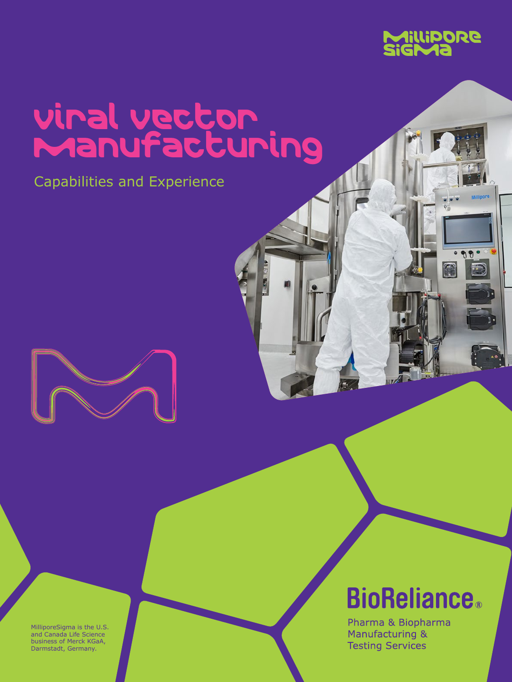

# Viral Vector Manufacturing

Capabilities and Experience



**BioReliance**®

Pharma & Biopharma Manufacturing & **Testing Services** 

MilliporeSigma is the U.S. and Canada Life Science business of Merck KGaA, Darmstadt, Germany.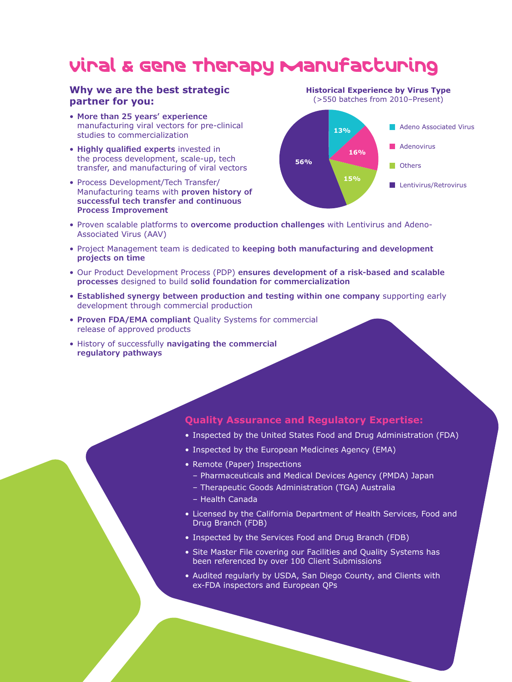## Viral & Gene Therapy Manufacturing

### **Why we are the best strategic partner for you:**

- **More than 25 years' experience** manufacturing viral vectors for pre-clinical studies to commercialization
- **Highly qualified experts** invested in the process development, scale-up, tech transfer, and manufacturing of viral vectors
- Process Development/Tech Transfer/ Manufacturing teams with **proven history of successful tech transfer and continuous Process Improvement**



- Proven scalable platforms to **overcome production challenges** with Lentivirus and Adeno-Associated Virus (AAV)
- Project Management team is dedicated to **keeping both manufacturing and development projects on time**
- Our Product Development Process (PDP) **ensures development of a risk-based and scalable processes** designed to build **solid foundation for commercialization**
- **Established synergy between production and testing within one company** supporting early development through commercial production
- **Proven FDA/EMA compliant** Quality Systems for commercial release of approved products
- History of successfully **navigating the commercial regulatory pathways**

#### **Quality Assurance and Regulatory Expertise:**

- Inspected by the United States Food and Drug Administration (FDA)
- Inspected by the European Medicines Agency (EMA)
- Remote (Paper) Inspections
	- Pharmaceuticals and Medical Devices Agency (PMDA) Japan
	- Therapeutic Goods Administration (TGA) Australia
	- Health Canada
- Licensed by the California Department of Health Services, Food and Drug Branch (FDB)
- Inspected by the Services Food and Drug Branch (FDB)
- Site Master File covering our Facilities and Quality Systems has been referenced by over 100 Client Submissions
- Audited regularly by USDA, San Diego County, and Clients with ex-FDA inspectors and European QPs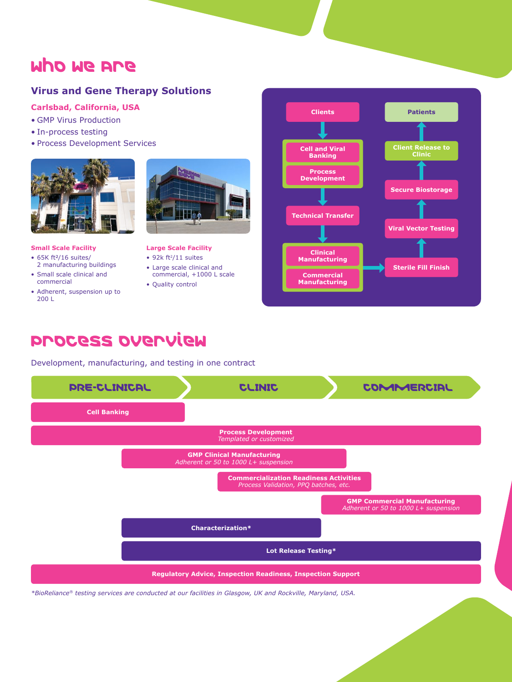### Who we Are

### **Virus and Gene Therapy Solutions**

#### **Carlsbad, California, USA**

- GMP Virus Production
- In-process testing
- Process Development Services



#### **Small Scale Facility**

- $\bullet$  65K ft<sup>2</sup>/16 suites/ 2 manufacturing buildings
- Small scale clinical and commercial
- Adherent, suspension up to 200 L



#### **Large Scale Facility**

- 92 $k$  ft<sup>2</sup>/11 suites
- Large scale clinical and commercial, +1000 L scale
- Quality control



### Process Overview

Development, manufacturing, and testing in one contract



*\*BioReliance® testing services are conducted at our facilities in Glasgow, UK and Rockville, Maryland, USA.*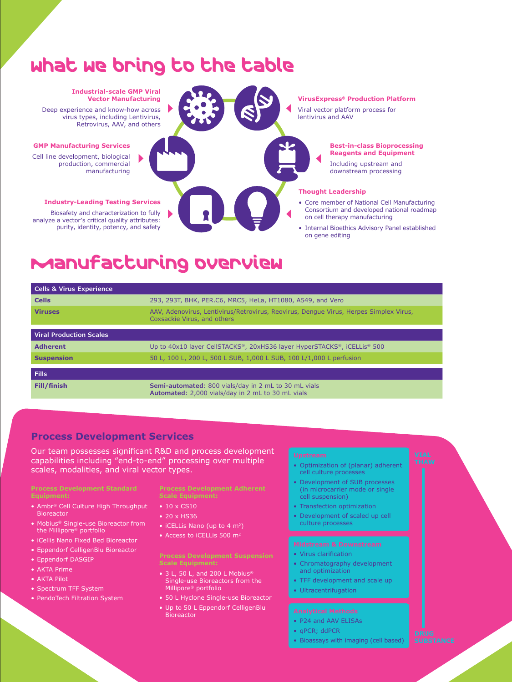## What we bring to the table

#### **Industrial-scale GMP Viral Vector Manufacturing**

Deep experience and know-how across virus types, including Lentivirus, Retrovirus, AAV, and others

#### **GMP Manufacturing Services**

Cell line development, biological production, commercial manufacturing

#### **Industry-Leading Testing Services**

Biosafety and characterization to fully analyze a vector's critical quality attributes: purity, identity, potency, and safety



#### **VirusExpress® Production Platform**

Viral vector platform process for lentivirus and AAV

#### **Best-in-class Bioprocessing Reagents and Equipment**

Including upstream and downstream processing

#### **Thought Leadership**

- Core member of National Cell Manufacturing Consortium and developed national roadmap on cell therapy manufacturing
- Internal Bioethics Advisory Panel established on gene editing

### Manufacturing Overview

| <b>Cells &amp; Virus Experience</b> |                                                                                                                      |
|-------------------------------------|----------------------------------------------------------------------------------------------------------------------|
| <b>Cells</b>                        | 293, 293T, BHK, PER.C6, MRC5, HeLa, HT1080, A549, and Vero                                                           |
| <b>Viruses</b>                      | AAV, Adenovirus, Lentivirus/Retrovirus, Reovirus, Dengue Virus, Herpes Simplex Virus,<br>Coxsackie Virus, and others |
|                                     |                                                                                                                      |
| <b>Viral Production Scales</b>      |                                                                                                                      |
| <b>Adherent</b>                     | Up to 40x10 layer CellSTACKS®, 20xHS36 layer HyperSTACKS®, iCELLis® 500                                              |
| <b>Suspension</b>                   | 50 L, 100 L, 200 L, 500 L SUB, 1,000 L SUB, 100 L/1,000 L perfusion                                                  |
|                                     |                                                                                                                      |
| <b>Fills</b>                        |                                                                                                                      |
| Fill/finish                         | Semi-automated: 800 vials/day in 2 mL to 30 mL vials<br>Automated: 2,000 vials/day in 2 mL to 30 mL vials            |

#### **Process Development Services**

Our team possesses significant R&D and process development capabilities including "end-to-end" processing over multiple scales, modalities, and viral vector types.

- Ambr® Cell Culture High Throughput Bioreactor
- Mobius® Single-use Bioreactor from the Millipore® portfolio
- iCellis Nano Fixed Bed Bioreactor
- Eppendorf CelligenBlu Bioreactor
- Eppendorf DASGIP
- AKTA Prime
- AKTA Pilot
- Spectrum TFF System
- PendoTech Filtration System

**Scale Equipment:**

- 10 x CS10
- 20 x HS36
- iCELLis Nano (up to 4 m<sup>2</sup>)
- Access to iCELLis 500 m<sup>2</sup>

### **Process Development Suspension**

- 3 L, 50 L, and 200 L Mobius® Single-use Bioreactors from the Millipore® portfolio
- 50 L Hyclone Single-use Bioreactor
- Up to 50 L Eppendorf CelligenBlu **Bioreactor**

- Optimization of (planar) adherent cell culture processes
- Development of SUB processes (in microcarrier mode or single cell suspension)
- Transfection optimization
- Development of scaled up cell culture processes

- Virus clarification
- Chromatography development and optimization
- TFF development and scale up
- Ultracentrifugation

- P24 and AAV ELISAs
- qPCR; ddPCR
- Bioassays with imaging (cell based)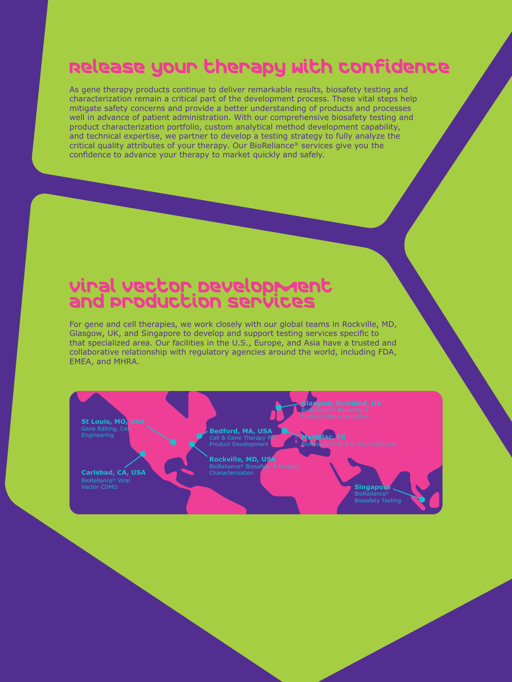## Release your therapy with confidence

As gene therapy products continue to deliver remarkable results, biosafety testing and characterization remain a critical part of the development process. These vital steps help mitigate safety concerns and provide a better understanding of products and processes well in advance of patient administration. With our comprehensive biosafety testing and product characterization portfolio, custom analytical method development capability, and technical expertise, we partner to develop a testing strategy to fully analyze the critical quality attributes of your therapy. Our BioReliance® services give you the confidence to advance your therapy to market quickly and safely.

### Viral Vector Development and Production Services

For gene and cell therapies, we work closely with our global teams in Rockville, MD, Glasgow, UK, and Singapore to develop and support testing services specific to that specialized area. Our facilities in the U.S., Europe, and Asia have a trusted and collaborative relationship with regulatory agencies around the world, including FDA, EMEA, and MHRA.

**St Louis, MO, USA** Gene Editing, Cell Engineering

**Carlsbad, CA, USA** BioReliance<sup>®</sup> Viral<br>Vector CDMO

**Bedford, MA, USA** Cell & Gene Therapy PD, Product Development

**Rockville, MD, USA** BioReliance® Biosafety & Product Characterization

**Glasgow, Scotland, UK**

**Martillac, FR**

**Singapore** BioReliance® Biosafety Testing